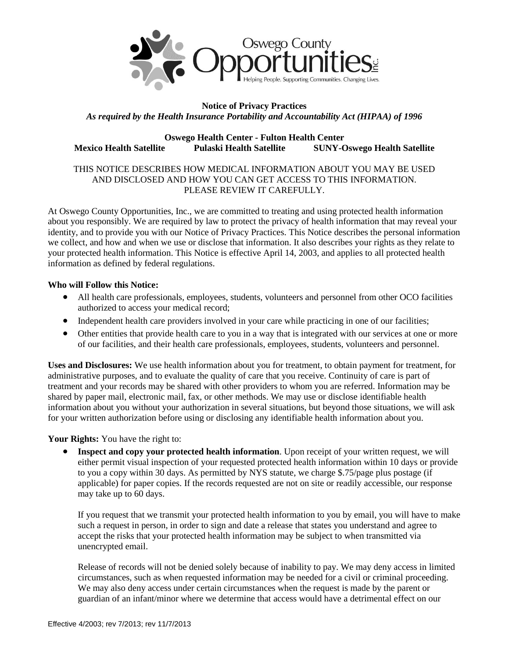

# **Notice of Privacy Practices** *As required by the Health Insurance Portability and Accountability Act (HIPAA) of 1996*

### **Oswego Health Center - Fulton Health Center Mexico Health Satellite Pulaski Health Satellite SUNY-Oswego Health Satellite**

### THIS NOTICE DESCRIBES HOW MEDICAL INFORMATION ABOUT YOU MAY BE USED AND DISCLOSED AND HOW YOU CAN GET ACCESS TO THIS INFORMATION. PLEASE REVIEW IT CAREFULLY.

At Oswego County Opportunities, Inc., we are committed to treating and using protected health information about you responsibly. We are required by law to protect the privacy of health information that may reveal your identity, and to provide you with our Notice of Privacy Practices. This Notice describes the personal information we collect, and how and when we use or disclose that information. It also describes your rights as they relate to your protected health information. This Notice is effective April 14, 2003, and applies to all protected health information as defined by federal regulations.

#### **Who will Follow this Notice:**

- All health care professionals, employees, students, volunteers and personnel from other OCO facilities authorized to access your medical record;
- Independent health care providers involved in your care while practicing in one of our facilities;
- Other entities that provide health care to you in a way that is integrated with our services at one or more of our facilities, and their health care professionals, employees, students, volunteers and personnel.

**Uses and Disclosures:** We use health information about you for treatment, to obtain payment for treatment, for administrative purposes, and to evaluate the quality of care that you receive. Continuity of care is part of treatment and your records may be shared with other providers to whom you are referred. Information may be shared by paper mail, electronic mail, fax, or other methods. We may use or disclose identifiable health information about you without your authorization in several situations, but beyond those situations, we will ask for your written authorization before using or disclosing any identifiable health information about you.

### **Your Rights:** You have the right to:

**•** Inspect and copy your protected health information. Upon receipt of your written request, we will either permit visual inspection of your requested protected health information within 10 days or provide to you a copy within 30 days. As permitted by NYS statute, we charge \$.75/page plus postage (if applicable) for paper copies. If the records requested are not on site or readily accessible, our response may take up to 60 days.

If you request that we transmit your protected health information to you by email, you will have to make such a request in person, in order to sign and date a release that states you understand and agree to accept the risks that your protected health information may be subject to when transmitted via unencrypted email.

Release of records will not be denied solely because of inability to pay. We may deny access in limited circumstances, such as when requested information may be needed for a civil or criminal proceeding. We may also deny access under certain circumstances when the request is made by the parent or guardian of an infant/minor where we determine that access would have a detrimental effect on our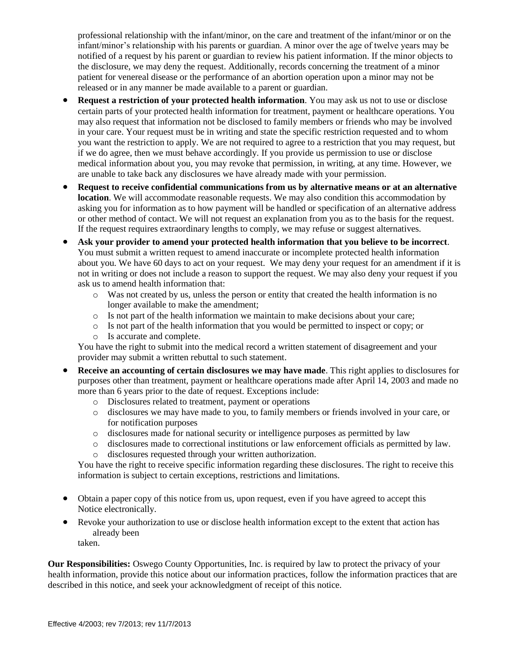professional relationship with the infant/minor, on the care and treatment of the infant/minor or on the infant/minor's relationship with his parents or guardian. A minor over the age of twelve years may be notified of a request by his parent or guardian to review his patient information. If the minor objects to the disclosure, we may deny the request. Additionally, records concerning the treatment of a minor patient for venereal disease or the performance of an abortion operation upon a minor may not be released or in any manner be made available to a parent or guardian.

- **Request a restriction of your protected health information**. You may ask us not to use or disclose certain parts of your protected health information for treatment, payment or healthcare operations. You may also request that information not be disclosed to family members or friends who may be involved in your care. Your request must be in writing and state the specific restriction requested and to whom you want the restriction to apply. We are not required to agree to a restriction that you may request, but if we do agree, then we must behave accordingly. If you provide us permission to use or disclose medical information about you, you may revoke that permission, in writing, at any time. However, we are unable to take back any disclosures we have already made with your permission.
- **Request to receive confidential communications from us by alternative means or at an alternative location**. We will accommodate reasonable requests. We may also condition this accommodation by asking you for information as to how payment will be handled or specification of an alternative address or other method of contact. We will not request an explanation from you as to the basis for the request. If the request requires extraordinary lengths to comply, we may refuse or suggest alternatives.
- **Ask your provider to amend your protected health information that you believe to be incorrect**. You must submit a written request to amend inaccurate or incomplete protected health information about you. We have 60 days to act on your request. We may deny your request for an amendment if it is not in writing or does not include a reason to support the request. We may also deny your request if you ask us to amend health information that:
	- $\circ$  Was not created by us, unless the person or entity that created the health information is no longer available to make the amendment;
	- $\circ$  Is not part of the health information we maintain to make decisions about your care;
	- o Is not part of the health information that you would be permitted to inspect or copy; or
	- o Is accurate and complete.

You have the right to submit into the medical record a written statement of disagreement and your provider may submit a written rebuttal to such statement.

- **Receive an accounting of certain disclosures we may have made**. This right applies to disclosures for purposes other than treatment, payment or healthcare operations made after April 14, 2003 and made no more than 6 years prior to the date of request. Exceptions include:
	- o Disclosures related to treatment, payment or operations
	- o disclosures we may have made to you, to family members or friends involved in your care, or for notification purposes
	- o disclosures made for national security or intelligence purposes as permitted by law
	- o disclosures made to correctional institutions or law enforcement officials as permitted by law.
	- o disclosures requested through your written authorization.

You have the right to receive specific information regarding these disclosures. The right to receive this information is subject to certain exceptions, restrictions and limitations.

- Obtain a paper copy of this notice from us, upon request, even if you have agreed to accept this Notice electronically.
- Revoke your authorization to use or disclose health information except to the extent that action has already been taken.

**Our Responsibilities:** Oswego County Opportunities, Inc. is required by law to protect the privacy of your health information, provide this notice about our information practices, follow the information practices that are described in this notice, and seek your acknowledgment of receipt of this notice.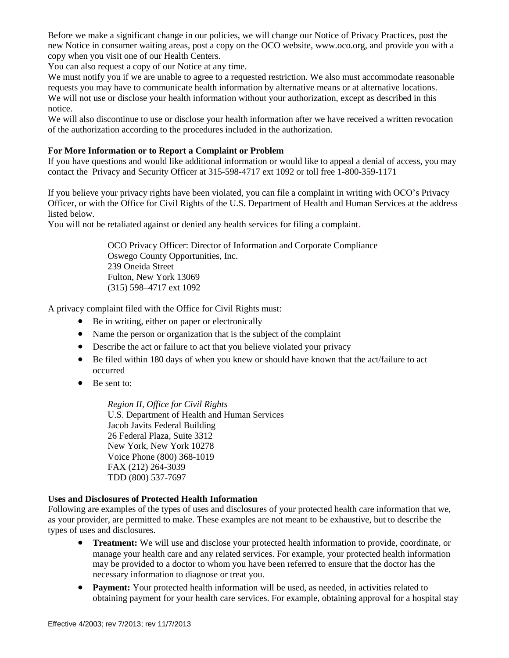Before we make a significant change in our policies, we will change our Notice of Privacy Practices, post the new Notice in consumer waiting areas, post a copy on the OCO website, www.oco.org, and provide you with a copy when you visit one of our Health Centers.

You can also request a copy of our Notice at any time.

We must notify you if we are unable to agree to a requested restriction. We also must accommodate reasonable requests you may have to communicate health information by alternative means or at alternative locations. We will not use or disclose your health information without your authorization, except as described in this notice.

We will also discontinue to use or disclose your health information after we have received a written revocation of the authorization according to the procedures included in the authorization.

# **For More Information or to Report a Complaint or Problem**

If you have questions and would like additional information or would like to appeal a denial of access, you may contact the Privacy and Security Officer at 315-598-4717 ext 1092 or toll free 1-800-359-1171

If you believe your privacy rights have been violated, you can file a complaint in writing with OCO's Privacy Officer, or with the Office for Civil Rights of the U.S. Department of Health and Human Services at the address listed below.

You will not be retaliated against or denied any health services for filing a complaint.

OCO Privacy Officer: Director of Information and Corporate Compliance Oswego County Opportunities, Inc. 239 Oneida Street Fulton, New York 13069 (315) 598–4717 ext 1092

A privacy complaint filed with the Office for Civil Rights must:

- Be in writing, either on paper or electronically
- Name the person or organization that is the subject of the complaint
- Describe the act or failure to act that you believe violated your privacy
- Be filed within 180 days of when you knew or should have known that the act/failure to act occurred
- Be sent to:

*Region II, Office for Civil Rights* U.S. Department of Health and Human Services Jacob Javits Federal Building 26 Federal Plaza, Suite 3312 New York, New York 10278 Voice Phone (800) 368-1019 FAX (212) 264-3039 TDD (800) 537-7697

### **Uses and Disclosures of Protected Health Information**

Following are examples of the types of uses and disclosures of your protected health care information that we, as your provider, are permitted to make. These examples are not meant to be exhaustive, but to describe the types of uses and disclosures.

- **Treatment:** We will use and disclose your protected health information to provide, coordinate, or manage your health care and any related services. For example, your protected health information may be provided to a doctor to whom you have been referred to ensure that the doctor has the necessary information to diagnose or treat you.
- Payment: Your protected health information will be used, as needed, in activities related to obtaining payment for your health care services. For example, obtaining approval for a hospital stay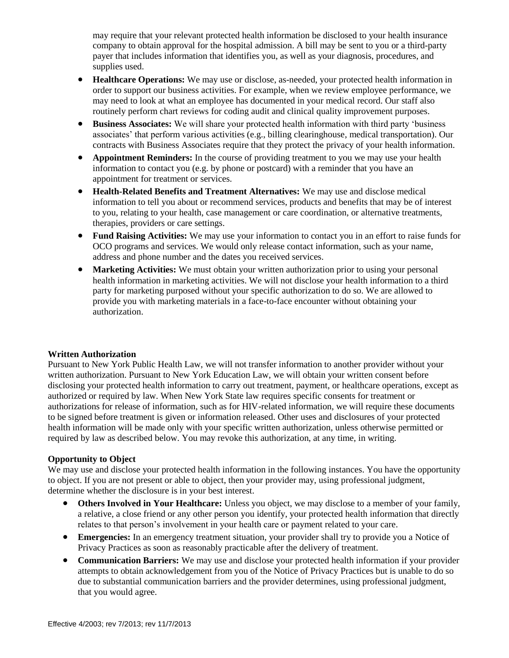may require that your relevant protected health information be disclosed to your health insurance company to obtain approval for the hospital admission. A bill may be sent to you or a third-party payer that includes information that identifies you, as well as your diagnosis, procedures, and supplies used.

- **Healthcare Operations:** We may use or disclose, as-needed, your protected health information in order to support our business activities. For example, when we review employee performance, we may need to look at what an employee has documented in your medical record. Our staff also routinely perform chart reviews for coding audit and clinical quality improvement purposes.
- **Business Associates:** We will share your protected health information with third party 'business associates' that perform various activities (e.g., billing clearinghouse, medical transportation). Our contracts with Business Associates require that they protect the privacy of your health information.
- **Appointment Reminders:** In the course of providing treatment to you we may use your health information to contact you (e.g. by phone or postcard) with a reminder that you have an appointment for treatment or services.
- **Health-Related Benefits and Treatment Alternatives:** We may use and disclose medical information to tell you about or recommend services, products and benefits that may be of interest to you, relating to your health, case management or care coordination, or alternative treatments, therapies, providers or care settings.
- **Fund Raising Activities:** We may use your information to contact you in an effort to raise funds for OCO programs and services. We would only release contact information, such as your name, address and phone number and the dates you received services.
- **Marketing Activities:** We must obtain your written authorization prior to using your personal health information in marketing activities. We will not disclose your health information to a third party for marketing purposed without your specific authorization to do so. We are allowed to provide you with marketing materials in a face-to-face encounter without obtaining your authorization.

### **Written Authorization**

Pursuant to New York Public Health Law, we will not transfer information to another provider without your written authorization. Pursuant to New York Education Law, we will obtain your written consent before disclosing your protected health information to carry out treatment, payment, or healthcare operations, except as authorized or required by law. When New York State law requires specific consents for treatment or authorizations for release of information, such as for HIV-related information, we will require these documents to be signed before treatment is given or information released. Other uses and disclosures of your protected health information will be made only with your specific written authorization, unless otherwise permitted or required by law as described below. You may revoke this authorization, at any time, in writing.

### **Opportunity to Object**

We may use and disclose your protected health information in the following instances. You have the opportunity to object. If you are not present or able to object, then your provider may, using professional judgment, determine whether the disclosure is in your best interest.

- **Others Involved in Your Healthcare:** Unless you object, we may disclose to a member of your family, a relative, a close friend or any other person you identify, your protected health information that directly relates to that person's involvement in your health care or payment related to your care.
- **Emergencies:** In an emergency treatment situation, your provider shall try to provide you a Notice of Privacy Practices as soon as reasonably practicable after the delivery of treatment.
- **Communication Barriers:** We may use and disclose your protected health information if your provider attempts to obtain acknowledgement from you of the Notice of Privacy Practices but is unable to do so due to substantial communication barriers and the provider determines, using professional judgment, that you would agree.